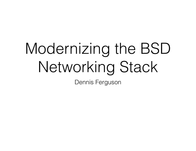# Modernizing the BSD Networking Stack

Dennis Ferguson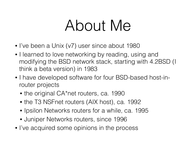### About Me

- I've been a Unix (v7) user since about 1980
- I learned to love networking by reading, using and modifying the BSD network stack, starting with 4.2BSD (I think a beta version) in 1983
- I have developed software for four BSD-based host-inrouter projects
	- the original CA\*net routers, ca. 1990
	- the T3 NSFnet routers (AIX host), ca. 1992
	- Ipsilon Networks routers for a while, ca. 1995
	- Juniper Networks routers, since 1996
- I've acquired some opinions in the process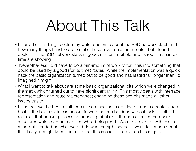## About This Talk

- I started off thinking I could may write a polemic about the BSD network stack and how many things I had to do to make it useful as a host-in-a-router, but I found I couldn't. The BSD network stack is good, it is just a bit old and its roots in a simpler time are showing
- Never-the-less I did have to do a fair amount of work to turn this into something that could be used by a good (for its time) router. While the implementation was a quick hack the basic organization turned out to be good and has lasted far longer than I'd imagined it might
- What I want to talk about are some basic organizational bits which were changed in the stack which turned out to have significant utility. This mostly deals with interface representation and route maintenance; changing these two bits made all other issues easier
- I also believe the best result for multicore scaling is obtained, in both a router and a host, if the basic stateless packet forwarding can be done without locks at all. This requires that packet processing access global data through a limited number of structures which can be modified while being read. We didn't start off with this in mind but it ended up what we did do was the right shape. I won't talk much about this, but you might keep it in mind that this is one of the places this is going.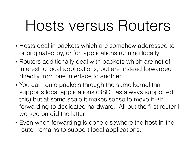## Hosts versus Routers

- Hosts deal in packets which are somehow addressed to or originated by, or for, applications running locally
- Routers additionally deal with packets which are not of interest to local applications, but are instead forwarded directly from one interface to another.
- You can route packets through the same kernel that supports local applications (BSD has always supported this) but at some scale it makes sense to move if $\rightarrow$ if forwarding to dedicated hardware. All but the first router I worked on did the latter.
- Even when forwarding is done elsewhere the host-in-therouter remains to support local applications.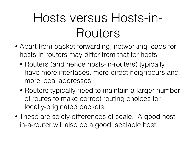#### Hosts versus Hosts-in-Routers

- Apart from packet forwarding, networking loads for hosts-in-routers may differ from that for hosts
	- Routers (and hence hosts-in-routers) typically have more interfaces, more direct neighbours and more local addresses.
	- Routers typically need to maintain a larger number of routes to make correct routing choices for locally-originated packets.
- These are solely differences of scale. A good hostin-a-router will also be a good, scalable host.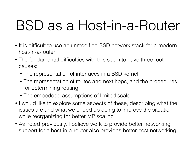### BSD as a Host-in-a-Router

- It is difficult to use an unmodified BSD network stack for a modern host-in-a-router
- The fundamental difficulties with this seem to have three root causes:
	- The representation of interfaces in a BSD kernel
	- The representation of routes and next hops, and the procedures for determining routing
	- The embedded assumptions of limited scale
- I would like to explore some aspects of these, describing what the issues are and what we ended up doing to improve the situation while reorganizing for better MP scaling
- As noted previously, I believe work to provide better networking support for a host-in-a-router also provides better host networking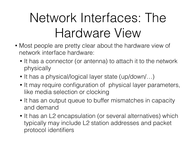### Network Interfaces: The Hardware View

- Most people are pretty clear about the hardware view of network interface hardware:
	- It has a connector (or antenna) to attach it to the network physically
	- It has a physical/logical layer state (up/down/...)
	- It may require configuration of physical layer parameters, like media selection or clocking
	- It has an output queue to buffer mismatches in capacity and demand
	- It has an L2 encapsulation (or several alternatives) which typically may include L2 station addresses and packet protocol identifiers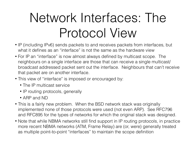### Network Interfaces: The Protocol View

- IP (including IPv6) sends packets to and receives packets from interfaces, but what it defines as an "interface" is not the same as the hardware view
- For IP an "interface" is now almost always defined by multicast scope. The neighbours on a single interface are those that can receive a single multicast/ broadcast addressed packet sent out the interface. Neighbours that can't receive that packet are on another interface.
- This view of "interface" is imposed or encouraged by:
	- The IP multicast service
	- IP routing protocols, generally
	- ARP and ND
- This is a fairly new problem. When the BSD network stack was originally implemented none of those protocols were used (not even ARP). See RFC796 and RFC895 for the types of networks for which the original stack was designed.
- Note that while NBMA networks still find support in IP routing protocols, in practice more recent NBMA networks (ATM, Frame Relay) are (or, were) generally treated as multiple point-to-point "interfaces" to maintain the scope definition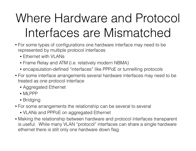#### Where Hardware and Protocol Interfaces are Mismatched

- For some types of configurations one hardware interface may need to be represented by multiple protocol interfaces
	- Fthernet with VI ANs
	- Frame Relay and ATM (i.e. relatively modern NBMA)
	- encapsulation-defined "interfaces" like PPPoE or tunnelling protocols
- For some interface arrangements several hardware interfaces may need to be treated as one protocol interface
	- Aggregated Ethernet
	- MI PPP
	- Bridging
- For some arrangements the relationship can be several to several
	- VLANs and PPPoE on aggregated Ethernet
- Making the relationship between hardware and protocol interfaces transparent is useful. While many VLAN "protocol" interfaces can share a single hardware ethernet there is still only one hardware down flag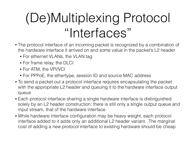### (De)Multiplexing Protocol "Interfaces"

- The protocol interface of an incoming packet is recognized by a combination of the hardware interface it arrived on and some value in the packet's L2 header
	- For ethernet VLANs, the VLAN tag
	- For frame relay, the DLCI
	- For ATM, the VPI/VCI
	- For PPPoE, the ethertype, session ID and source MAC address
- To send a packet out a protocol interface requires encapsulating the packet with the appropriate L2 header and queuing it to the hardware interface output queue
- Each protocol interface sharing a single hardware interface is distinguished solely by an L2 header construction; there is still only a single output queue and input stream, that of the hardware interface
- While hardware interface configuration may be heavy weight, each protocol interface added to it adds only an additional L2 header variant. The marginal cost of adding a new protocol interface to existing hardware should be cheap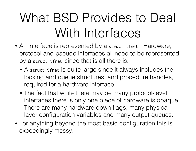### What BSD Provides to Deal With Interfaces

- An interface is represented by a struct ifnet. Hardware, protocol and pseudo interfaces all need to be represented by a struct ifnet since that is all there is.
	- A struct ifnet is quite large since it always includes the locking and queue structures, and procedure handles, required for a hardware interface
	- The fact that while there may be many protocol-level interfaces there is only one piece of hardware is opaque. There are many hardware down flags, many physical layer configuration variables and many output queues.
- For anything beyond the most basic configuration this is exceedingly messy.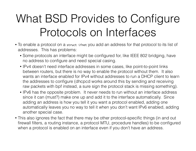#### What BSD Provides to Configure Protocols on Interfaces

- To enable a protocol on a struct ifnet you add an address for that protocol to its list of addresses. This has problems:
	- Some protocols an interface might be configured for, like IEEE 802 bridging, have no address to configure and need special casing.
	- IPv4 doesn't need interface addresses in some cases, like point-to-point links between routers, but there is no way to enable the protocol without them. It also wants an interface enabled for IPv4 without addresses to run a DHCP client to learn the addresses to configure (dhcpcd works around this by sending and receiving raw packets with bpf instead, a sure sign the protocol stack is missing something).
	- IPv6 has the opposite problem. It never needs to run without an interface address since it can (must?) make one up and add it to the interface automatically. Since adding an address is how you tell it you want a protocol enabled, adding one automatically leaves you no way to tell it when you don't want IPv6 enabled, adding another special case.
- This also ignores the fact that there may be other protocol-specific things (in and out firewall filters, a routing instance, a protocol MTU, procedure handles) to be configured when a protocol is enabled on an interface even if you don't have an address.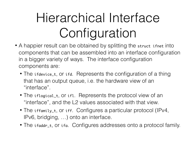### Hierarchical Interface Configuration

- A happier result can be obtained by splitting the struct ifnet into components that can be assembled into an interface configuration in a bigger variety of ways. The interface configuration components are:
	- The ifdevice\_t, or ifd. Represents the configuration of a thing that has an output queue, i.e. the hardware view of an "interface".
	- The iflogical\_t, or ifl. Represents the protocol view of an "interface", and the L2 values associated with that view.
	- The iffamily\_t, or iff. Configures a particular protocol (IPv4, IPv6, bridging, …) onto an interface.
	- The ifaddr\_t, or ifa. Configures addresses onto a protocol family.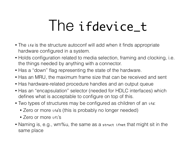### The ifdevice\_t

- The ifd is the structure autoconf will add when it finds appropriate hardware configured in a system.
- Holds configuration related to media selection, framing and clocking, i.e. the things needed by anything with a connector.
- Has a "down" flag representing the state of the hardware.
- Has an MRU, the maximum frame size that can be received and sent
- Has hardware-related procedure handles and an output queue
- Has an "encapsulation" selector (needed for HDLC interfaces) which defines what is acceptable to configure on top of this.
- Two types of structures may be configured as children of an ifd:
	- Zero or more if d's (this is probably no longer needed)
	- Zero or more if i's
- Naming is, e.g., wm%u, the same as a struct ifnet that might sit in the same place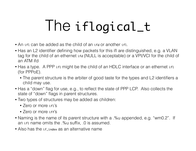## The iflogical\_t

- An iff can be added as the child of an iff or another iff.
- Has an L2 identifier defining how packets for this ifl are distinguished, e.g. a VLAN tag for the child of an ethernet ifd (NULL is acceptable) or a VPI/VCI for the child of an ATM ifd
- Has a type. A PPP if might be the child of an HDLC interface or an ethernet if a (for PPPoE).
	- The parent structure is the arbiter of good taste for the types and L2 identifiers a child may use.
- Has a "down" flag for use, e.g., to reflect the state of PPP LCP. Also collects the state of "down" flags in parent structures.
- Two types of structures may be added as children:
	- Zero or more if i's
	- Zero or more iff's
- Naming is the name of its parent structure with a .%u appended, e.g. "wm0.2". If an ifl name omits the .%u suffix, .0 is assumed.
- Also has the if index as an alternative name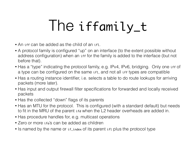## Ine iffamily\_t

- An iff can be added as the child of an ifl.
- A protocol family is configured "up" on an interface (to the extent possible without address configuration) when an iff for the family is added to the interface (but not before that).
- Has a "type" indicating the protocol family, e.g. IPv4, IPv6, bridging. Only one iff of a type can be configured on the same ifl, and not all iff types are compatible
- Has a routing instance identifier, i.e. selects a table to do route lookups for arriving packets (more later).
- Has input and output firewall filter specifications for forwarded and locally received packets
- Has the collected "down" flags of its parents
- Has an MTU for the protocol. This is configured (with a standard default) but needs to fit in the MRU of the parent ifd when the L2 header overheads are added in.
- Has procedure handles for, e.g. multicast operations
- Zero or more if a's can be added as children
- Is named by the name or if-index of its parent iff plus the protocol type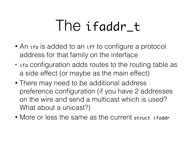### Ine ifaddr\_t

- An if a is added to an iff to configure a protocol address for that family on the interface
- if a configuration adds routes to the routing table as a side effect (or maybe as the main effect)
- There may need to be additional address preference configuration (if you have 2 addresses on the wire and send a multicast which is used? What about a unicast?)
- More or less the same as the current struct if addr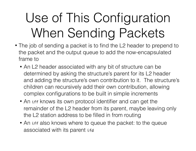### Use of This Configuration When Sending Packets

- The job of sending a packet is to find the L2 header to prepend to the packet and the output queue to add the now-encapsulated frame to
	- An L2 header associated with any bit of structure can be determined by asking the structure's parent for its L2 header and adding the structure's own contribution to it. The structure's children can recursively add their own contribution, allowing complex configurations to be built in simple increments
	- An iff knows its own protocol identifier and can get the remainder of the L2 header from its parent, maybe leaving only the L2 station address to be filled in from routing
	- An iff also knows where to queue the packet: to the queue associated with its parent ifd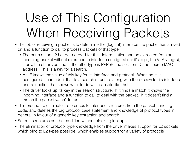### Use of This Configuration When Receiving Packets

- The job of receiving a packet is to determine the (logical) interface the packet has arrived on and a function to call to process packets of that type.
	- The parts of the L2 header needed for this determination can be extracted from an incoming packet without reference to interface configuration; it's, e.g., the VLAN tag(s), if any, the ethertype and, if the ethertype is PPPoE, the session ID and source MAC address. This is a key for a search.
	- An iff knows the value of this key for its interface and protocol. When an iff is configured it can add it that to a search structure along with the if\_index for its interface and a function that knows what to do with packets like that.
	- The driver looks up its key in the search structure. If it finds a match it knows the incoming interface and a function to call to deal with the packet. If it doesn't find a match the packet wasn't for us
- This procedure eliminates references to interface structures from the packet handling code, and deletes the big protocol case statement and knowledge of protocol types in general in favour of a generic key extraction and search
- Search structures can be modified without blocking lookups
- The elimination of protocol type knowledge from the driver makes support for L2 sockets which bind to L2 types possible, which enables support for a variety of protocols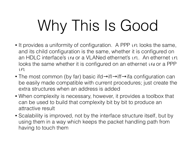# Why This Is Good

- It provides a uniformity of configuration. A PPP iffer looks the same, and its child configuration is the same, whether it is configured on an HDLC interface's ifd or a VLANed ethernet's ifl. An ethernet ifl looks the same whether it is configured on an ethernet if a or a PPP ifl
- The most common (by far) basic ifd→ifl→iff→ifa configuration can be easily made compatible with current procedures; just create the extra structures when an address is added
- When complexity is necessary, however, it provides a toolbox that can be used to build that complexity bit by bit to produce an attractive result
- Scalability is improved, not by the interface structure itself, but by using them in a way which keeps the packet handling path from having to touch them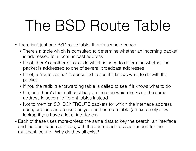## The BSD Route Table

- There isn't just one BSD route table, there's a whole bunch
	- There's a table which is consulted to determine whether an incoming packet is addressed to a local unicast address
	- If not, there's another bit of code which is used to determine whether the packet is addressed to one of several broadcast addresses
	- If not, a "route cache" is consulted to see if it knows what to do with the packet
	- If not, the radix trie forwarding table is called to see if it knows what to do
	- Oh, and there's the multicast bag-on-the-side which looks up the same address in several different tables instead
	- Not to mention SO\_DONTROUTE packets for which the interface address configuration can be used as yet another route table (an extremely slow lookup if you have a lot of interfaces)
- Each of these uses more-or-less the same data to key the search: an interface and the destination address, with the source address appended for the multicast lookup. Why do they all exist?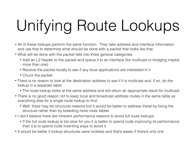# Unifying Route Lookups

- All of these lookups perform the same function. They take address and interface information and use that to determine what should be done with a packet that looks like that.
- What will be done with the packet falls into three general categories:
	- Add an L2 header to the packet and queue it to an interface (for multicast or bridging maybe more than one)
	- Receive the packet locally to see if any local applications are interested in it
	- Chuck the packet
- There is no reason to look at the destination address to see if it is multicast and, if so, do the lookup in a separate table
	- The route lookup looks at the same address and will return an appropriate result for multicast
- There is no good reason not to keep local and broadcast address routes in the same table as everything else for a single route lookup to find
	- Well, there may be structural reasons but it would be better to address these by fixing the structure rather than by breeding more route tables
- I don't believe there are inherent performance reasons to avoid full route lookups
	- If the full route lookup is too slow for you it is better to spend code improving its performance than it is to spend code inventing ways to avoid it
- It would be better if lookup structures were lockless and that's easier if there's only one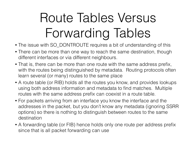### Route Tables Versus Forwarding Tables

- The issue with SO\_DONTROUTE requires a bit of understanding of this
- There can be more than one way to reach the same destination, though different interfaces or via different neighbours.
- That is, there can be more than one route with the same address prefix, with the routes being distinguished by metadata. Routing protocols often learn several (or many) routes to the same place
- A route table (or RIB) holds all the routes you know, and provides lookups using both address information and metadata to find matches. Multiple routes with the same address prefix can coexist in a route table.
- For packets arriving from an interface you know the interface and the addresses in the packet, but you don't know any metadata (ignoring SSRR options) so there is nothing to distinguish between routes to the same destination
- A forwarding table (or FIB) hence holds only one route per address prefix since that is all packet forwarding can use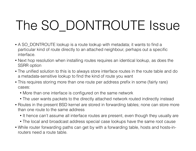### The SO\_DONTROUTE Issue

- A SO DONTROUTE lookup is a route lookup with metadata; it wants to find a particular kind of route directly to an attached neighbour, perhaps out a specific interface.
- Next hop resolution when installing routes requires an identical lookup, as does the SSRR option
- The unified solution to this is to always store interface routes in the route table and do a metadata-sensitive lookup to find the kind of route you want
- This requires storing more than one route per address prefix in some (fairly rare) cases:
	- More than one interface is configured on the same network
	- The user wants packets to the directly attached network routed indirectly instead
- Routes in the present BSD kernel are stored in forwarding tables; none can store more than one route to the same address
	- It hence can't assume all interface routes are present, even though they usually are
	- The local and broadcast address special case lookups have the same root cause
- While router forwarding paths can get by with a forwarding table, hosts and hosts-inrouters need a route table.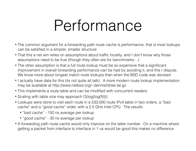## Performance

- The common argument for a forwarding path route cache is performance, that is most lookups can be satisfied in a simpler, smaller structure
- That this a net win relies on assumptions about traffic locality, and I don't know why those assumptions need to be true (though they often are for benchmarks…)
- The other assumption is that a full route lookup must be so expensive that a significant improvement in overall forwarding performance can be had by avoiding it, and this I dispute. We know more about longest match route lookups than when the BSD code was devised
- I actually have data for this (its not quite all talk). A more modern route lookup implementation may be available at http://www.netbsd.org/~dennis/rttree.tar.gz
- This implements a route table and can be modified with concurrent readers
- Scaling with table size may approach O(log(log(N)))
- Lookups were done to visit each route in a 533,000 route IPv4 table in two orders, a "bad cache" and a "good cache" order, with a 2.5 GHz Intel CPU. The results:
	- "bad cache" 150 ns average per lookup
	- "good cache" 30 ns average per lookup
- A forwarding path route cache would only improve on the latter number. On a machine where getting a packet from interface to interface in 1 us would be good this makes no difference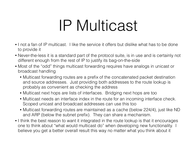## IP Multicast

- I not a fan of IP multicast. I like the service it offers but dislike what has to be done to provide it
- Never-the-less it is a standard part of the protocol suite, is in use and is certainly not different enough from the rest of IP to justify its bag-on-the-side
- Most of the "odd" things multicast forwarding requires have analogs in unicast or broadcast handling
	- Multicast forwarding routes are a prefix of the concatenated packet destination and source addresses. Just providing both addresses to the route lookup is probably as convenient as checking the address
	- Multicast next hops are lists of interfaces. Bridging next hops are too
	- Multicast needs an interface index in the route for an incoming interface check. Scoped unicast and broadcast addresses can use this too
	- Multicast forwarding routes are maintained as a cache (below 224/4), just like ND and ARP (below the subnet prefix). They can share a mechanism.
- I think the best reason to want it integrated in the route lookup is that it encourages one to think about "what would multicast do" when developing new functionality. I believe you get a better overall result this way no matter what you think about it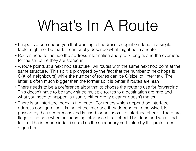## What's In A Route

- I hope I've persuaded you that wanting all address recognition done in a single table might not be mad. I can briefly describe what might be in a route
- Routes need to include the address information and prefix length, and the overhead for the structure they are stored in
- A route points at a next hop structure. All routes with the same next hop point at the same structure. This split is prompted by the fact that the number of next hops is O(#\_of\_neighbours) while the number of routes can be O(size\_of\_Internet). The latter is often much bigger than the former so it is better if routes are lean
- There needs to be a preference algorithm to choose the route to use for forwarding. This doesn't have to be fancy since multiple routes to a destination are rare and what you need to happen is usually either pretty clear or doesn't matter
- There is an interface index in the route. For routes which depend on interface address configuration it is that of the interface they depend on, otherwise it is passed by the user process and is used for an incoming interface check. There are flags to indicate when an incoming interface check should be done and what kind to do. The interface index is used as the secondary sort value by the preference algorithm.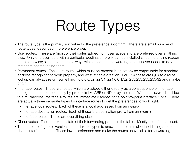# Route Types

- The route type is the primary sort value for the preference algorithm. There are a small number of route types, described in preference order.
- User routes. These are (most of the) routes added from user space and are preferred over anything else. Only one user route with a particular destination prefix can be installed since there is no reason to do otherwise; since user routes always win a spot in the forwarding table it never needs to do a metadata search to find them.
- Permanent routes. These are routes which must be present in an otherwise empty table for standard address recognition to work properly, and exist at table creation. For IPv4 these are 0/0 (so a route lookup can always return something), 0.0.0.0/32, 224/4, 224.0.0.1/32, 255.255.255.255/32 and maybe 240/4.
- Interface routes. These are routes which are added either directly as a consequence of interface configuration, or subsequently by protocols like ARP or ND or by the user. When an ifaddr\_t is added to a multiaccess interface 4 routes are immediately added, for a point-to-point interface 1 or 2. There are actually three separate types for interface routes to get the preferences to work right:
	- Interface local routes. Each of these is a local addresses from an ifaddr\_t
	- Interface destination routes. Each of these is a destination prefix from an ifaddr\_t
	- Interface routes. These are everything else
- Clone routes. These track the state of their forwarding parent in the table. Mostly used for multicast.
- There are also "ignore" versions of most route types to answer complaints about not being able to delete interface routes. These lower preference and make the routes unavailable for forwarding.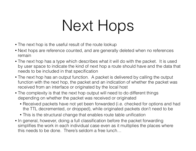## Next Hops

- The next hop is the useful result of the route lookup
- Next hops are reference counted, and are generally deleted when no references remain
- The next hop has a type which describes what it will do with the packet. It is used by user space to indicate the kind of next hop a route should have and the data that needs to be included in that specification
- The next hop has an output function. A packet is delivered by calling the output function with the next hop, the packet and an indication of whether the packet was received from an interface or originated by the local host
- The complexity is that the next hop output will need to do different things depending on whether the packet was received or originated
	- Received packets have not yet been forwarded (i.e. checked for options and had the TTL decremented, or dropped), while originated packets don't need to be
	- This is the structural change that enables route table unification
- In general, however, doing a full classification before the packet forwarding simplifies the work in each individual case even as it multiplies the places where this needs to be done. There's seldom a free lunch…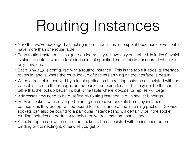# Routing Instances

- Now that we've packaged all routing information in just one spot it becomes convenient to have more than one route table
- Each routing instance is assigned an index. If you have only one table it is index 0, which is also the default when a table index is not specified, so all this is transparent when you only have one
- Each iffamily\_t is configured with a routing instance. This is the table it adds its interface routes in, and is where the route lookup of packets arriving on the interface is begun
- When a packet is received by a local application the routing instance associated with the packet is the one that recognized the packet as being local. This may not be the same table that the lookup began in, but is the table where lookups for replies will begin
- Addresses now need to be qualified by routing instance, e.g. in socket bindings.
- Service sockets with only a port binding can receive packets from any instance; connections they accept will be bound to the instance of the incoming packets. Service sockets can also be bound to a particular instance (and will certainly be if the socket binding includes an address) to only receive packets from that instance
- A socket option allows an unbound socket to be associated with an instance before binding or connecting it, otherwise you get 0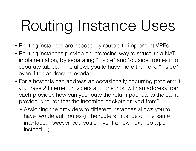# Routing Instance Uses

- Routing instances are needed by routers to implement VRFs.
- Routing instances provide an interesing way to structure a NAT implementation, by separating "inside" and "outside" routes into separate tables. This allows you to have more than one "inside", even if the addresses overlap
- For a host this can address an occasionally occurring problem: if you have 2 Internet providers and one host with an address from each provider, how can you route the return packets to the same provider's router that the incoming packets arrived from?
	- Assigning the providers to different instances allows you to have two default routes (if the routers must be on the same interface, however, you could invent a new next hop type instead…)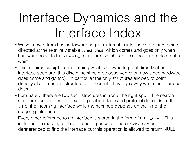### Interface Dynamics and the Interface Index

- We've moved from having forwarding path interest in interface structures being directed at the relatively stable struct ifnet, which comes and goes only when hardware does, to the iffamily\_t structure, which can be added and deleted at a whim
- This requires discipline concerning what is allowed to point directly at an interface structure (this discipline should be observed even now since hardware does come and go too). In particular the only structures allowed to point directly at an interface structure are those which will go away when the interface does
- Fortunately, there are two such structures in about the right spot. The search structure used to demultiplex to logical interface and protocol depends on the iff of the incoming interface while the next hop depends on the iff of the outgoing interface
- Every other reference to an interface is stored in the form of an if\_index. This includes the most egregious offender, packets. The if\_index may be dereferenced to find the interface but this operation is allowed to return NULL.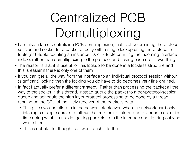### Centralized PCB Demultiplexing

- I am also a fan of centralizing PCB demultiplexing, that is of determining the protocol session and socket for a packet directly with a single lookup using the protocol 5 tuple (or 6-tuple counting an instance ID, or 7-tuple counting the incoming interface index), rather than demultiplexing to the protocol and having each do its own thing
- The reason is that it is useful for this lookup to be done in a lockless structure and this is easier if there is only one of them
- If you can get all the way from the interface to an individual protocol session without (signficant) locking then the locking you do have to do becomes very fine grained.
- In fact I actually prefer a different strategy: Rather than processing the packet all the way to the socket in this thread, instead queue the packet to a per-protocol-session queue and schedule the high layer protocol processing to be done by a thread running on the CPU of the likely receiver of the packet's data
	- This gives you parallelism in the network stack even when the network card only interrupts a single core, and allows the core being interrupted to spend most of its time doing what it must do, getting packets from the interface and figuring out who wants them
	- This is debatable, though, so I won't push it further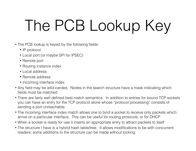# The PCB Lookup Key

- The PCB lookup is keyed by the following fields:
	- IP protocol
	- Local port (or maybe SPI for IPSEC)
	- Remote port
	- Routing instance index
	- Local address
	- Remote address
	- Incoming interface index
- Any field may be wild-carded. Nodes in the search structure have a mask indicating which fields must be matched
- There are fairly well defined best match semantics. In addition to entries for bound TCP sockets you can have an entry for the TCP protocol alone whose "protocol processing" consists of sending a port unreachable.
- The incoming interface index match allows one to bind a socket to receive only packets which arrive on a particular interface. This can be useful for routing protocols, or for DHCP
- When a socket is ready for use it inserts an appropriate entry to attract packets to itself
- The structure I have is a hybrid hash table/tree. It allows modifications to be with concurrent readers; some additions to the structure can be made without locking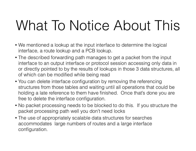### What To Notice About This

- We mentioned a lookup at the input interface to determine the logical interface, a route lookup and a PCB lookup.
- The described forwarding path manages to get a packet from the input interface to an output interface or protocol session accessing only data in or directly pointed to by the results of lookups in those 3 data structures, all of which can be modified while being read
- You can delete interface configuration by removing the referencing structures from those tables and waiting until all operations that could be holding a late reference to them have finished. Once that's done you are free to delete the interface configuration.
- No packet processing needs to be blocked to do this. If you structure the packet processing path well you don't need locks
- The use of appropriately scalable data structures for searches accommodates large numbers of routes and a large interface configuration.